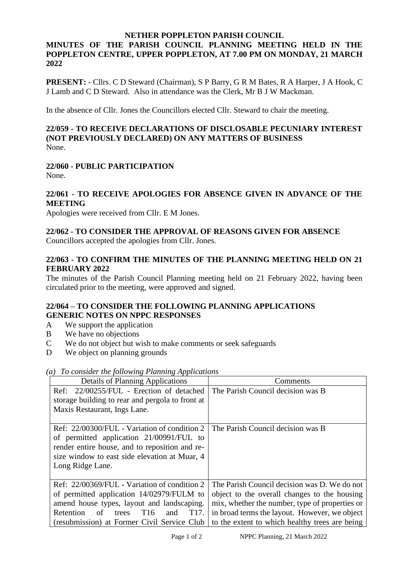# **NETHER POPPLETON PARISH COUNCIL**

# **MINUTES OF THE PARISH COUNCIL PLANNING MEETING HELD IN THE POPPLETON CENTRE, UPPER POPPLETON, AT 7.00 PM ON MONDAY, 21 MARCH 2022**

**PRESENT:** - Cllrs. C D Steward (Chairman), S P Barry, G R M Bates, R A Harper, J A Hook, C J Lamb and C D Steward. Also in attendance was the Clerk, Mr B J W Mackman.

In the absence of Cllr. Jones the Councillors elected Cllr. Steward to chair the meeting.

#### **22/059 - TO RECEIVE DECLARATIONS OF DISCLOSABLE PECUNIARY INTEREST (NOT PREVIOUSLY DECLARED) ON ANY MATTERS OF BUSINESS** None.

# **22/060 - PUBLIC PARTICIPATION**

None.

#### **22/061 - TO RECEIVE APOLOGIES FOR ABSENCE GIVEN IN ADVANCE OF THE MEETING**

Apologies were received from Cllr. E M Jones.

# **22/062 - TO CONSIDER THE APPROVAL OF REASONS GIVEN FOR ABSENCE**

Councillors accepted the apologies from Cllr. Jones.

# **22/063 - TO CONFIRM THE MINUTES OF THE PLANNING MEETING HELD ON 21 FEBRUARY 2022**

The minutes of the Parish Council Planning meeting held on 21 February 2022, having been circulated prior to the meeting, were approved and signed.

# **22/064 – TO CONSIDER THE FOLLOWING PLANNING APPLICATIONS GENERIC NOTES ON NPPC RESPONSES**

- A We support the application
- B We have no objections
- C We do not object but wish to make comments or seek safeguards
- D We object on planning grounds

| Details of Planning Applications                                                                                                                                                                                                                                | Comments                                                                                                                                                                                                                                          |
|-----------------------------------------------------------------------------------------------------------------------------------------------------------------------------------------------------------------------------------------------------------------|---------------------------------------------------------------------------------------------------------------------------------------------------------------------------------------------------------------------------------------------------|
| Ref: 22/00255/FUL - Erection of detached<br>storage building to rear and pergola to front at<br>Maxis Restaurant, Ings Lane.                                                                                                                                    | The Parish Council decision was B                                                                                                                                                                                                                 |
| Ref: 22/00300/FUL - Variation of condition 2<br>of permitted application 21/00991/FUL to<br>render entire house, and to reposition and re-<br>size window to east side elevation at Muar, 4<br>Long Ridge Lane.                                                 | The Parish Council decision was B                                                                                                                                                                                                                 |
| Ref: 22/00369/FUL - Variation of condition 2<br>of permitted application 14/02979/FULM to<br>amend house types, layout and landscaping.<br>Retention<br>T <sub>17</sub><br>T <sub>16</sub><br>and<br>trees<br>of<br>(resubmission) at Former Civil Service Club | The Parish Council decision was D. We do not<br>object to the overall changes to the housing<br>mix, whether the number, type of properties or<br>in broad terms the layout. However, we object<br>to the extent to which healthy trees are being |

*(a) To consider the following Planning Applications*